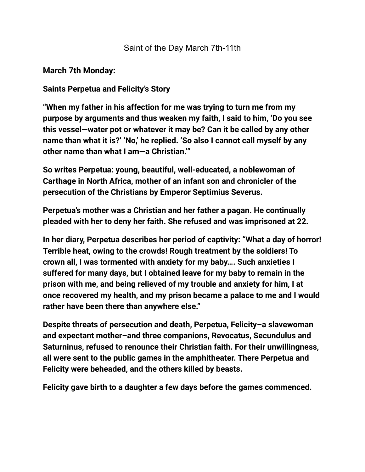#### Saint of the Day March 7th-11th

**March 7th Monday:**

**Saints Perpetua and Felicity's Story**

**"When my father in his affection for me was trying to turn me from my purpose by arguments and thus weaken my faith, I said to him, 'Do you see this vessel—water pot or whatever it may be? Can it be called by any other name than what it is?' 'No,' he replied. 'So also I cannot call myself by any other name than what I am—a Christian.'"**

**So writes Perpetua: young, beautiful, well-educated, a noblewoman of Carthage in North Africa, mother of an infant son and chronicler of the persecution of the Christians by Emperor Septimius Severus.**

**Perpetua's mother was a Christian and her father a pagan. He continually pleaded with her to deny her faith. She refused and was imprisoned at 22.**

**In her diary, Perpetua describes her period of captivity: "What a day of horror! Terrible heat, owing to the crowds! Rough treatment by the soldiers! To crown all, I was tormented with anxiety for my baby…. Such anxieties I suffered for many days, but I obtained leave for my baby to remain in the prison with me, and being relieved of my trouble and anxiety for him, I at once recovered my health, and my prison became a palace to me and I would rather have been there than anywhere else."**

**Despite threats of persecution and death, Perpetua, Felicity–a slavewoman and expectant mother–and three companions, Revocatus, Secundulus and Saturninus, refused to renounce their Christian faith. For their unwillingness, all were sent to the public games in the amphitheater. There Perpetua and Felicity were beheaded, and the others killed by beasts.**

**Felicity gave birth to a daughter a few days before the games commenced.**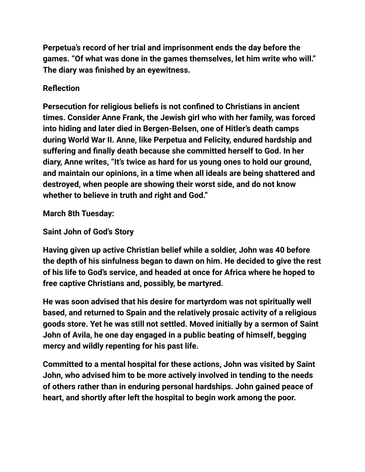**Perpetua's record of her trial and imprisonment ends the day before the games. "Of what was done in the games themselves, let him write who will." The diary was finished by an eyewitness.**

# **Reflection**

**Persecution for religious beliefs is not confined to Christians in ancient times. Consider Anne Frank, the Jewish girl who with her family, was forced into hiding and later died in Bergen-Belsen, one of Hitler's death camps during World War II. Anne, like Perpetua and Felicity, endured hardship and suffering and finally death because she committed herself to God. In her diary, Anne writes, "It's twice as hard for us young ones to hold our ground, and maintain our opinions, in a time when all ideals are being shattered and destroyed, when people are showing their worst side, and do not know whether to believe in truth and right and God."**

**March 8th Tuesday:**

**Saint John of God's Story**

**Having given up active Christian belief while a soldier, John was 40 before the depth of his sinfulness began to dawn on him. He decided to give the rest of his life to God's service, and headed at once for Africa where he hoped to free captive Christians and, possibly, be martyred.**

**He was soon advised that his desire for martyrdom was not spiritually well based, and returned to Spain and the relatively prosaic activity of a religious goods store. Yet he was still not settled. Moved initially by a sermon of Saint John of Avila, he one day engaged in a public beating of himself, begging mercy and wildly repenting for his past life.**

**Committed to a mental hospital for these actions, John was visited by Saint John, who advised him to be more actively involved in tending to the needs of others rather than in enduring personal hardships. John gained peace of heart, and shortly after left the hospital to begin work among the poor.**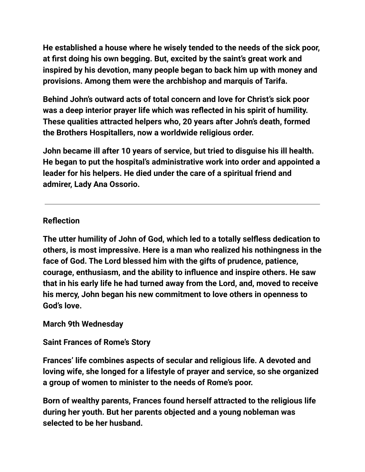**He established a house where he wisely tended to the needs of the sick poor, at first doing his own begging. But, excited by the saint's great work and inspired by his devotion, many people began to back him up with money and provisions. Among them were the archbishop and marquis of Tarifa.**

**Behind John's outward acts of total concern and love for Christ's sick poor was a deep interior prayer life which was reflected in his spirit of humility. These qualities attracted helpers who, 20 years after John's death, formed the Brothers Hospitallers, now a worldwide religious order.**

**John became ill after 10 years of service, but tried to disguise his ill health. He began to put the hospital's administrative work into order and appointed a leader for his helpers. He died under the care of a spiritual friend and admirer, Lady Ana Ossorio.**

## **Reflection**

**The utter humility of John of God, which led to a totally selfless dedication to others, is most impressive. Here is a man who realized his nothingness in the face of God. The Lord blessed him with the gifts of prudence, patience, courage, enthusiasm, and the ability to influence and inspire others. He saw that in his early life he had turned away from the Lord, and, moved to receive his mercy, John began his new commitment to love others in openness to God's love.**

## **March 9th Wednesday**

## **Saint Frances of Rome's Story**

**Frances' life combines aspects of secular and religious life. A devoted and loving wife, she longed for a lifestyle of prayer and service, so she organized a group of women to minister to the needs of Rome's poor.**

**Born of wealthy parents, Frances found herself attracted to the religious life during her youth. But her parents objected and a young nobleman was selected to be her husband.**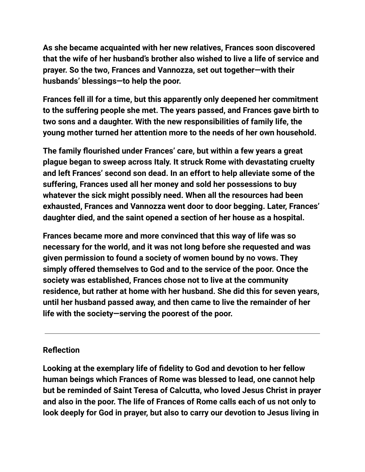**As she became acquainted with her new relatives, Frances soon discovered that the wife of her husband's brother also wished to live a life of service and prayer. So the two, Frances and Vannozza, set out together—with their husbands' blessings—to help the poor.**

**Frances fell ill for a time, but this apparently only deepened her commitment to the suffering people she met. The years passed, and Frances gave birth to two sons and a daughter. With the new responsibilities of family life, the young mother turned her attention more to the needs of her own household.**

**The family flourished under Frances' care, but within a few years a great plague began to sweep across Italy. It struck Rome with devastating cruelty and left Frances' second son dead. In an effort to help alleviate some of the suffering, Frances used all her money and sold her possessions to buy whatever the sick might possibly need. When all the resources had been exhausted, Frances and Vannozza went door to door begging. Later, Frances' daughter died, and the saint opened a section of her house as a hospital.**

**Frances became more and more convinced that this way of life was so necessary for the world, and it was not long before she requested and was given permission to found a society of women bound by no vows. They simply offered themselves to God and to the service of the poor. Once the society was established, Frances chose not to live at the community residence, but rather at home with her husband. She did this for seven years, until her husband passed away, and then came to live the remainder of her life with the society—serving the poorest of the poor.**

#### **Reflection**

**Looking at the exemplary life of fidelity to God and devotion to her fellow human beings which Frances of Rome was blessed to lead, one cannot help but be reminded of Saint Teresa of Calcutta, who loved Jesus Christ in prayer and also in the poor. The life of Frances of Rome calls each of us not only to look deeply for God in prayer, but also to carry our devotion to Jesus living in**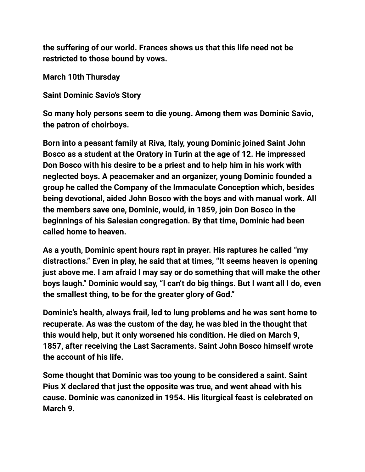**the suffering of our world. Frances shows us that this life need not be restricted to those bound by vows.**

**March 10th Thursday**

**Saint Dominic Savio's Story**

**So many holy persons seem to die young. Among them was Dominic Savio, the patron of choirboys.**

**Born into a peasant family at Riva, Italy, young Dominic joined Saint John Bosco as a student at the Oratory in Turin at the age of 12. He impressed Don Bosco with his desire to be a priest and to help him in his work with neglected boys. A peacemaker and an organizer, young Dominic founded a group he called the Company of the Immaculate Conception which, besides being devotional, aided John Bosco with the boys and with manual work. All the members save one, Dominic, would, in 1859, join Don Bosco in the beginnings of his Salesian congregation. By that time, Dominic had been called home to heaven.**

**As a youth, Dominic spent hours rapt in prayer. His raptures he called "my distractions." Even in play, he said that at times, "It seems heaven is opening just above me. I am afraid I may say or do something that will make the other boys laugh." Dominic would say, "I can't do big things. But I want all I do, even the smallest thing, to be for the greater glory of God."**

**Dominic's health, always frail, led to lung problems and he was sent home to recuperate. As was the custom of the day, he was bled in the thought that this would help, but it only worsened his condition. He died on March 9, 1857, after receiving the Last Sacraments. Saint John Bosco himself wrote the account of his life.**

**Some thought that Dominic was too young to be considered a saint. Saint Pius X declared that just the opposite was true, and went ahead with his cause. Dominic was canonized in 1954. His liturgical feast is celebrated on March 9.**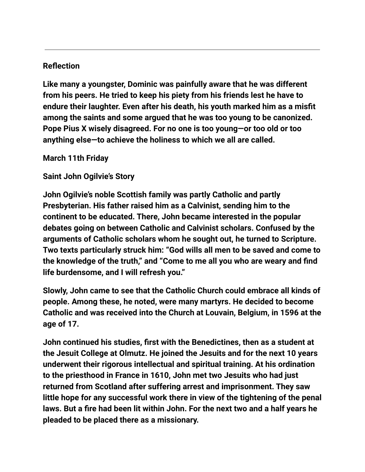## **Reflection**

**Like many a youngster, Dominic was painfully aware that he was different from his peers. He tried to keep his piety from his friends lest he have to endure their laughter. Even after his death, his youth marked him as a misfit among the saints and some argued that he was too young to be canonized. Pope Pius X wisely disagreed. For no one is too young—or too old or too anything else—to achieve the holiness to which we all are called.**

## **March 11th Friday**

## **Saint John Ogilvie's Story**

**John Ogilvie's noble Scottish family was partly Catholic and partly Presbyterian. His father raised him as a Calvinist, sending him to the continent to be educated. There, John became interested in the popular debates going on between Catholic and Calvinist scholars. Confused by the arguments of Catholic scholars whom he sought out, he turned to Scripture. Two texts particularly struck him: "God wills all men to be saved and come to the knowledge of the truth," and "Come to me all you who are weary and find life burdensome, and I will refresh you."**

**Slowly, John came to see that the Catholic Church could embrace all kinds of people. Among these, he noted, were many martyrs. He decided to become Catholic and was received into the Church at Louvain, Belgium, in 1596 at the age of 17.**

**John continued his studies, first with the Benedictines, then as a student at the Jesuit College at Olmutz. He joined the Jesuits and for the next 10 years underwent their rigorous intellectual and spiritual training. At his ordination to the priesthood in France in 1610, John met two Jesuits who had just returned from Scotland after suffering arrest and imprisonment. They saw little hope for any successful work there in view of the tightening of the penal laws. But a fire had been lit within John. For the next two and a half years he pleaded to be placed there as a missionary.**